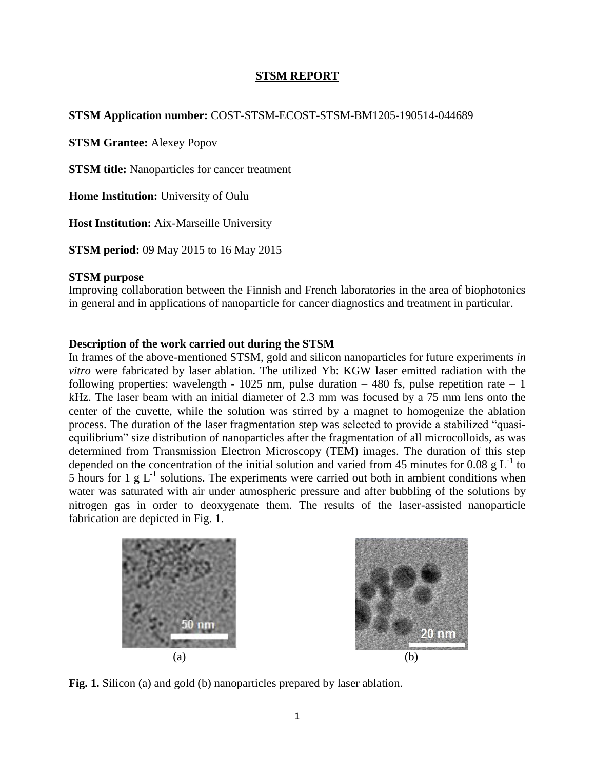## **STSM REPORT**

## **STSM Application number:** COST-STSM-ECOST-STSM-BM1205-190514-044689

**STSM Grantee:** Alexey Popov

**STSM title:** Nanoparticles for cancer treatment

**Home Institution:** University of Oulu

**Host Institution:** Aix-Marseille University

**STSM period:** 09 May 2015 to 16 May 2015

### **STSM purpose**

Improving collaboration between the Finnish and French laboratories in the area of biophotonics in general and in applications of nanoparticle for cancer diagnostics and treatment in particular.

### **Description of the work carried out during the STSM**

In frames of the above-mentioned STSM, gold and silicon nanoparticles for future experiments *in vitro* were fabricated by laser ablation. The utilized Yb: KGW laser emitted radiation with the following properties: wavelength - 1025 nm, pulse duration  $-480$  fs, pulse repetition rate  $-1$ kHz. The laser beam with an initial diameter of 2.3 mm was focused by a 75 mm lens onto the center of the cuvette, while the solution was stirred by a magnet to homogenize the ablation process. The duration of the laser fragmentation step was selected to provide a stabilized "quasiequilibrium" size distribution of nanoparticles after the fragmentation of all microcolloids, as was determined from Transmission Electron Microscopy (TEM) images. The duration of this step depended on the concentration of the initial solution and varied from 45 minutes for 0.08  $g L^{-1}$  to 5 hours for 1 g  $L^{-1}$  solutions. The experiments were carried out both in ambient conditions when water was saturated with air under atmospheric pressure and after bubbling of the solutions by nitrogen gas in order to deoxygenate them. The results of the laser-assisted nanoparticle fabrication are depicted in Fig. 1.





**Fig. 1.** Silicon (a) and gold (b) nanoparticles prepared by laser ablation.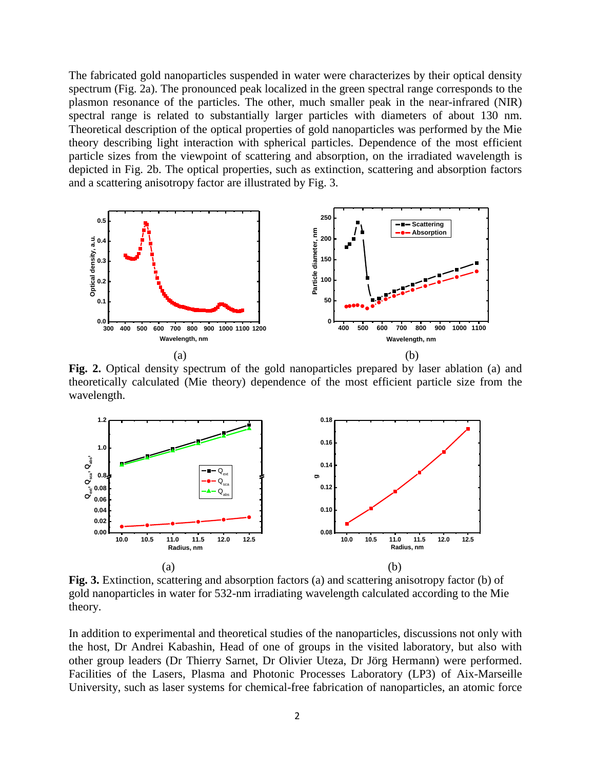The fabricated gold nanoparticles suspended in water were characterizes by their optical density spectrum (Fig. 2a). The pronounced peak localized in the green spectral range corresponds to the plasmon resonance of the particles. The other, much smaller peak in the near-infrared (NIR) spectral range is related to substantially larger particles with diameters of about 130 nm. Theoretical description of the optical properties of gold nanoparticles was performed by the Mie theory describing light interaction with spherical particles. Dependence of the most efficient particle sizes from the viewpoint of scattering and absorption, on the irradiated wavelength is depicted in Fig. 2b. The optical properties, such as extinction, scattering and absorption factors and a scattering anisotropy factor are illustrated by Fig. 3.



**Fig. 2.** Optical density spectrum of the gold nanoparticles prepared by laser ablation (a) and theoretically calculated (Mie theory) dependence of the most efficient particle size from the wavelength.



**Fig. 3.** Extinction, scattering and absorption factors (a) and scattering anisotropy factor (b) of gold nanoparticles in water for 532-nm irradiating wavelength calculated according to the Mie theory.

In addition to experimental and theoretical studies of the nanoparticles, discussions not only with the host, Dr Andrei Kabashin, Head of one of groups in the visited laboratory, but also with other group leaders (Dr Thierry Sarnet, Dr Olivier Uteza, Dr Jörg Hermann) were performed. Facilities of the Lasers, Plasma and Photonic Processes Laboratory (LP3) of Aix-Marseille University, such as laser systems for chemical-free fabrication of nanoparticles, an atomic force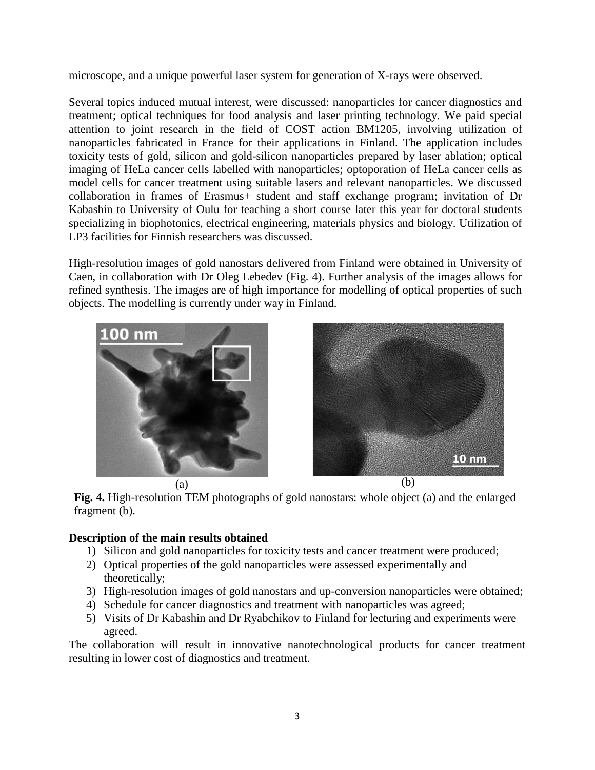microscope, and a unique powerful laser system for generation of X-rays were observed.

Several topics induced mutual interest, were discussed: nanoparticles for cancer diagnostics and treatment; optical techniques for food analysis and laser printing technology. We paid special attention to joint research in the field of COST action BM1205, involving utilization of nanoparticles fabricated in France for their applications in Finland. The application includes toxicity tests of gold, silicon and gold-silicon nanoparticles prepared by laser ablation; optical imaging of HeLa cancer cells labelled with nanoparticles; optoporation of HeLa cancer cells as model cells for cancer treatment using suitable lasers and relevant nanoparticles. We discussed collaboration in frames of Erasmus+ student and staff exchange program; invitation of Dr Kabashin to University of Oulu for teaching a short course later this year for doctoral students specializing in biophotonics, electrical engineering, materials physics and biology. Utilization of LP3 facilities for Finnish researchers was discussed.

High-resolution images of gold nanostars delivered from Finland were obtained in University of Caen, in collaboration with Dr Oleg Lebedev (Fig. 4). Further analysis of the images allows for refined synthesis. The images are of high importance for modelling of optical properties of such objects. The modelling is currently under way in Finland.





**Fig. 4.** High-resolution TEM photographs of gold nanostars: whole object (a) and the enlarged fragment (b).

# **Description of the main results obtained**

- 1) Silicon and gold nanoparticles for toxicity tests and cancer treatment were produced;
- 2) Optical properties of the gold nanoparticles were assessed experimentally and theoretically;
- 3) High-resolution images of gold nanostars and up-conversion nanoparticles were obtained;
- 4) Schedule for cancer diagnostics and treatment with nanoparticles was agreed;
- 5) Visits of Dr Kabashin and Dr Ryabchikov to Finland for lecturing and experiments were agreed.

The collaboration will result in innovative nanotechnological products for cancer treatment resulting in lower cost of diagnostics and treatment.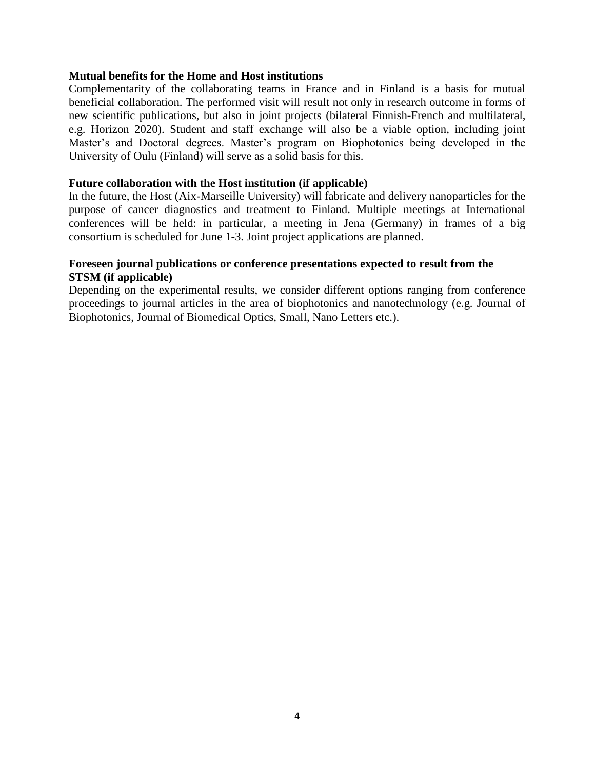### **Mutual benefits for the Home and Host institutions**

Complementarity of the collaborating teams in France and in Finland is a basis for mutual beneficial collaboration. The performed visit will result not only in research outcome in forms of new scientific publications, but also in joint projects (bilateral Finnish-French and multilateral, e.g. Horizon 2020). Student and staff exchange will also be a viable option, including joint Master's and Doctoral degrees. Master's program on Biophotonics being developed in the University of Oulu (Finland) will serve as a solid basis for this.

## **Future collaboration with the Host institution (if applicable)**

In the future, the Host (Aix-Marseille University) will fabricate and delivery nanoparticles for the purpose of cancer diagnostics and treatment to Finland. Multiple meetings at International conferences will be held: in particular, a meeting in Jena (Germany) in frames of a big consortium is scheduled for June 1-3. Joint project applications are planned.

## **Foreseen journal publications or conference presentations expected to result from the STSM (if applicable)**

Depending on the experimental results, we consider different options ranging from conference proceedings to journal articles in the area of biophotonics and nanotechnology (e.g. Journal of Biophotonics, Journal of Biomedical Optics, Small, Nano Letters etc.).